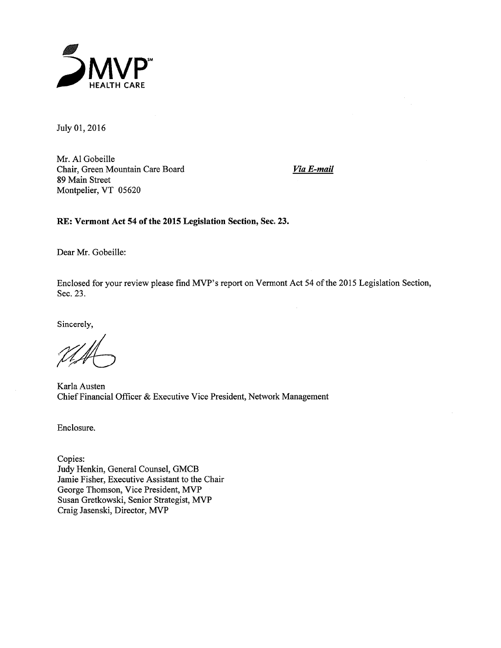

July 01, 2016

Mr. Al Gobeille Chair, Green Mountain Care Board 89 Main Street Montpelier, VT 05620

Via E-mail

RE: Vermont Act 54 of the 2015 Legislation Section, Sec. 23.

Dear Mr. Gobeille:

Enclosed for your review please find MVP's report on Vermont Act 54 of the 2015 Legislation Section, Sec. 23.

Sincerely,

Karla Austen Chief Financial Officer & Executive Vice President, Network Management

Enclosure.

Copies: Judy Henkin, General Counsel, GMCB Jamie Fisher, Executive Assistant to the Chair George Thomson, Vice President, MVP Susan Gretkowski, Senior Strategist, MVP Craig Jasenski, Director, MVP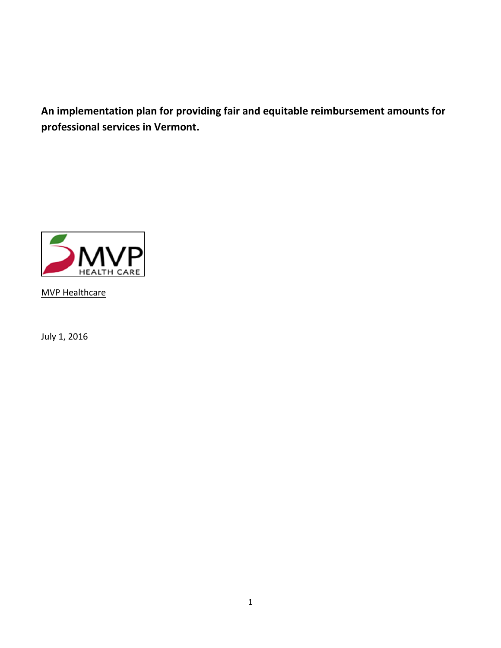**An implementation plan for providing fair and equitable reimbursement amounts for professional services in Vermont.**



MVP Healthcare

July 1, 2016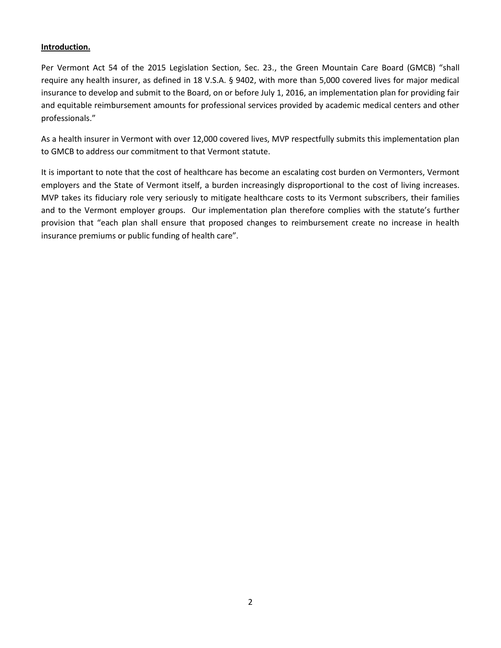### **Introduction.**

Per Vermont Act 54 of the 2015 Legislation Section, Sec. 23., the Green Mountain Care Board (GMCB) "shall require any health insurer, as defined in 18 V.S.A. § 9402, with more than 5,000 covered lives for major medical insurance to develop and submit to the Board, on or before July 1, 2016, an implementation plan for providing fair and equitable reimbursement amounts for professional services provided by academic medical centers and other professionals."

As a health insurer in Vermont with over 12,000 covered lives, MVP respectfully submits this implementation plan to GMCB to address our commitment to that Vermont statute.

It is important to note that the cost of healthcare has become an escalating cost burden on Vermonters, Vermont employers and the State of Vermont itself, a burden increasingly disproportional to the cost of living increases. MVP takes its fiduciary role very seriously to mitigate healthcare costs to its Vermont subscribers, their families and to the Vermont employer groups. Our implementation plan therefore complies with the statute's further provision that "each plan shall ensure that proposed changes to reimbursement create no increase in health insurance premiums or public funding of health care".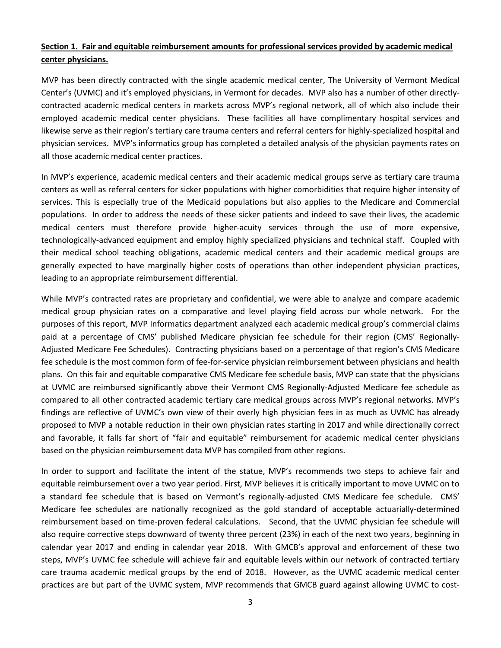## **Section 1. Fair and equitable reimbursement amounts for professional services provided by academic medical center physicians.**

MVP has been directly contracted with the single academic medical center, The University of Vermont Medical Center's (UVMC) and it's employed physicians, in Vermont for decades. MVP also has a number of other directlycontracted academic medical centers in markets across MVP's regional network, all of which also include their employed academic medical center physicians. These facilities all have complimentary hospital services and likewise serve as their region's tertiary care trauma centers and referral centers for highly-specialized hospital and physician services. MVP's informatics group has completed a detailed analysis of the physician payments rates on all those academic medical center practices.

In MVP's experience, academic medical centers and their academic medical groups serve as tertiary care trauma centers as well as referral centers for sicker populations with higher comorbidities that require higher intensity of services. This is especially true of the Medicaid populations but also applies to the Medicare and Commercial populations. In order to address the needs of these sicker patients and indeed to save their lives, the academic medical centers must therefore provide higher-acuity services through the use of more expensive, technologically-advanced equipment and employ highly specialized physicians and technical staff. Coupled with their medical school teaching obligations, academic medical centers and their academic medical groups are generally expected to have marginally higher costs of operations than other independent physician practices, leading to an appropriate reimbursement differential.

While MVP's contracted rates are proprietary and confidential, we were able to analyze and compare academic medical group physician rates on a comparative and level playing field across our whole network. For the purposes of this report, MVP Informatics department analyzed each academic medical group's commercial claims paid at a percentage of CMS' published Medicare physician fee schedule for their region (CMS' Regionally-Adjusted Medicare Fee Schedules). Contracting physicians based on a percentage of that region's CMS Medicare fee schedule is the most common form of fee-for-service physician reimbursement between physicians and health plans. On this fair and equitable comparative CMS Medicare fee schedule basis, MVP can state that the physicians at UVMC are reimbursed significantly above their Vermont CMS Regionally-Adjusted Medicare fee schedule as compared to all other contracted academic tertiary care medical groups across MVP's regional networks. MVP's findings are reflective of UVMC's own view of their overly high physician fees in as much as UVMC has already proposed to MVP a notable reduction in their own physician rates starting in 2017 and while directionally correct and favorable, it falls far short of "fair and equitable" reimbursement for academic medical center physicians based on the physician reimbursement data MVP has compiled from other regions.

In order to support and facilitate the intent of the statue, MVP's recommends two steps to achieve fair and equitable reimbursement over a two year period. First, MVP believes it is critically important to move UVMC on to a standard fee schedule that is based on Vermont's regionally-adjusted CMS Medicare fee schedule. CMS' Medicare fee schedules are nationally recognized as the gold standard of acceptable actuarially-determined reimbursement based on time-proven federal calculations. Second, that the UVMC physician fee schedule will also require corrective steps downward of twenty three percent (23%) in each of the next two years, beginning in calendar year 2017 and ending in calendar year 2018. With GMCB's approval and enforcement of these two steps, MVP's UVMC fee schedule will achieve fair and equitable levels within our network of contracted tertiary care trauma academic medical groups by the end of 2018. However, as the UVMC academic medical center practices are but part of the UVMC system, MVP recommends that GMCB guard against allowing UVMC to cost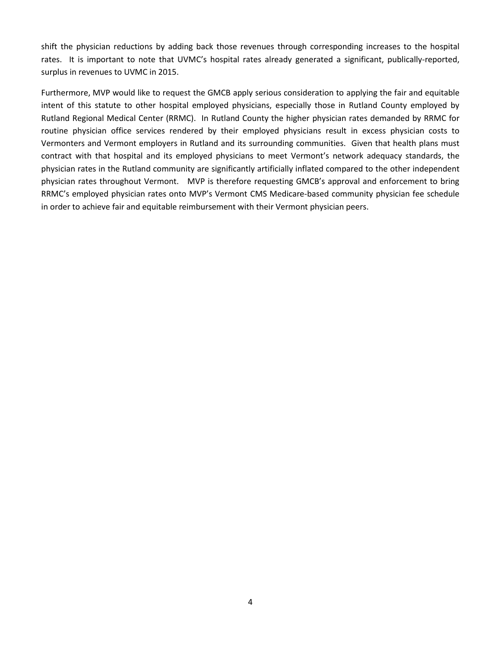shift the physician reductions by adding back those revenues through corresponding increases to the hospital rates. It is important to note that UVMC's hospital rates already generated a significant, publically-reported, surplus in revenues to UVMC in 2015.

Furthermore, MVP would like to request the GMCB apply serious consideration to applying the fair and equitable intent of this statute to other hospital employed physicians, especially those in Rutland County employed by Rutland Regional Medical Center (RRMC). In Rutland County the higher physician rates demanded by RRMC for routine physician office services rendered by their employed physicians result in excess physician costs to Vermonters and Vermont employers in Rutland and its surrounding communities. Given that health plans must contract with that hospital and its employed physicians to meet Vermont's network adequacy standards, the physician rates in the Rutland community are significantly artificially inflated compared to the other independent physician rates throughout Vermont. MVP is therefore requesting GMCB's approval and enforcement to bring RRMC's employed physician rates onto MVP's Vermont CMS Medicare-based community physician fee schedule in order to achieve fair and equitable reimbursement with their Vermont physician peers.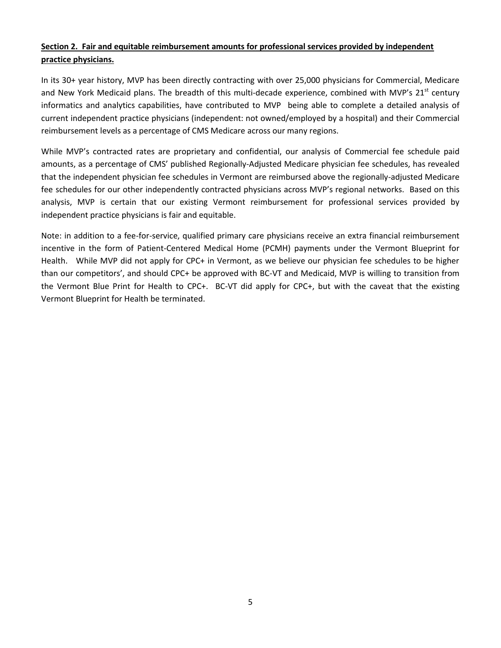# **Section 2. Fair and equitable reimbursement amounts for professional services provided by independent practice physicians.**

In its 30+ year history, MVP has been directly contracting with over 25,000 physicians for Commercial, Medicare and New York Medicaid plans. The breadth of this multi-decade experience, combined with MVP's  $21^{st}$  century informatics and analytics capabilities, have contributed to MVP being able to complete a detailed analysis of current independent practice physicians (independent: not owned/employed by a hospital) and their Commercial reimbursement levels as a percentage of CMS Medicare across our many regions.

While MVP's contracted rates are proprietary and confidential, our analysis of Commercial fee schedule paid amounts, as a percentage of CMS' published Regionally-Adjusted Medicare physician fee schedules, has revealed that the independent physician fee schedules in Vermont are reimbursed above the regionally-adjusted Medicare fee schedules for our other independently contracted physicians across MVP's regional networks. Based on this analysis, MVP is certain that our existing Vermont reimbursement for professional services provided by independent practice physicians is fair and equitable.

Note: in addition to a fee-for-service, qualified primary care physicians receive an extra financial reimbursement incentive in the form of Patient-Centered Medical Home (PCMH) payments under the Vermont Blueprint for Health. While MVP did not apply for CPC+ in Vermont, as we believe our physician fee schedules to be higher than our competitors', and should CPC+ be approved with BC-VT and Medicaid, MVP is willing to transition from the Vermont Blue Print for Health to CPC+. BC-VT did apply for CPC+, but with the caveat that the existing Vermont Blueprint for Health be terminated.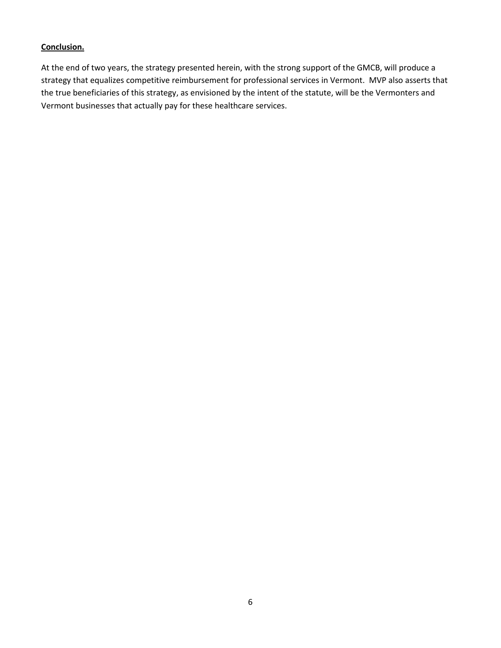## **Conclusion.**

At the end of two years, the strategy presented herein, with the strong support of the GMCB, will produce a strategy that equalizes competitive reimbursement for professional services in Vermont. MVP also asserts that the true beneficiaries of this strategy, as envisioned by the intent of the statute, will be the Vermonters and Vermont businesses that actually pay for these healthcare services.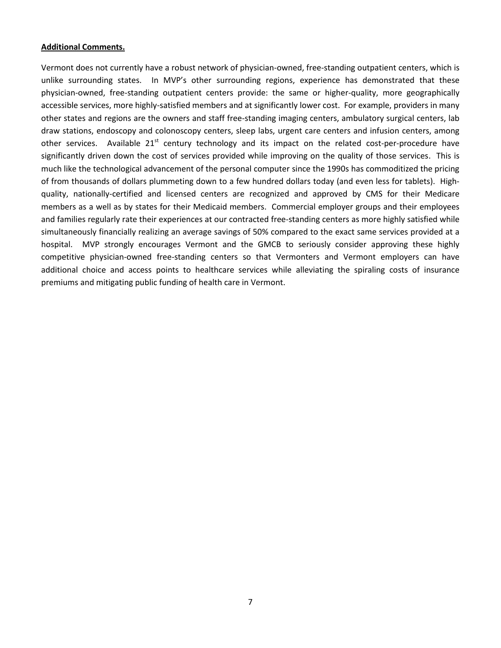#### **Additional Comments.**

Vermont does not currently have a robust network of physician-owned, free-standing outpatient centers, which is unlike surrounding states. In MVP's other surrounding regions, experience has demonstrated that these physician-owned, free-standing outpatient centers provide: the same or higher-quality, more geographically accessible services, more highly-satisfied members and at significantly lower cost. For example, providers in many other states and regions are the owners and staff free-standing imaging centers, ambulatory surgical centers, lab draw stations, endoscopy and colonoscopy centers, sleep labs, urgent care centers and infusion centers, among other services. Available  $21<sup>st</sup>$  century technology and its impact on the related cost-per-procedure have significantly driven down the cost of services provided while improving on the quality of those services. This is much like the technological advancement of the personal computer since the 1990s has commoditized the pricing of from thousands of dollars plummeting down to a few hundred dollars today (and even less for tablets). Highquality, nationally-certified and licensed centers are recognized and approved by CMS for their Medicare members as a well as by states for their Medicaid members. Commercial employer groups and their employees and families regularly rate their experiences at our contracted free-standing centers as more highly satisfied while simultaneously financially realizing an average savings of 50% compared to the exact same services provided at a hospital. MVP strongly encourages Vermont and the GMCB to seriously consider approving these highly competitive physician-owned free-standing centers so that Vermonters and Vermont employers can have additional choice and access points to healthcare services while alleviating the spiraling costs of insurance premiums and mitigating public funding of health care in Vermont.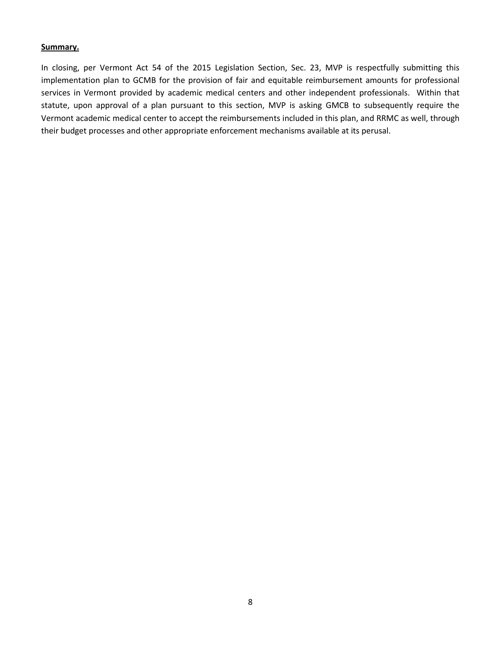#### **Summary.**

In closing, per Vermont Act 54 of the 2015 Legislation Section, Sec. 23, MVP is respectfully submitting this implementation plan to GCMB for the provision of fair and equitable reimbursement amounts for professional services in Vermont provided by academic medical centers and other independent professionals. Within that statute, upon approval of a plan pursuant to this section, MVP is asking GMCB to subsequently require the Vermont academic medical center to accept the reimbursements included in this plan, and RRMC as well, through their budget processes and other appropriate enforcement mechanisms available at its perusal.